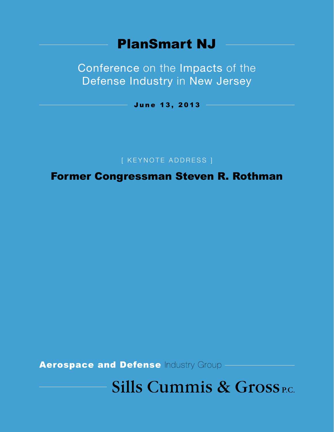# PlanSmart NJ

Conference on the Impacts of the Defense Industry in New Jersey

June 13, 2013

[ Keynote Address ]

Former Congressman Steven R. Rothman

**Sills Cummis & Gross P.C.**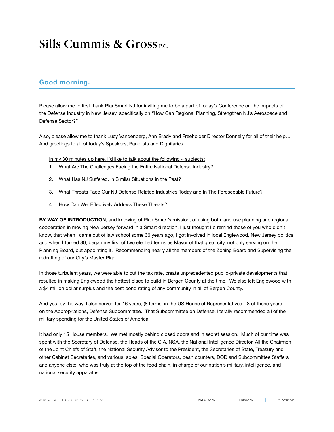#### **Good morning.**

Please allow me to first thank PlanSmart NJ for inviting me to be a part of today's Conference on the Impacts of the Defense Industry in New Jersey, specifically on *"*How Can Regional Planning, Strengthen NJ's Aerospace and Defense Sector?"

Also, please allow me to thank Lucy Vandenberg, Ann Brady and Freeholder Director Donnelly for all of their help… And greetings to all of today's Speakers, Panelists and Dignitaries.

In my 30 minutes up here, I'd like to talk about the following 4 subjects:

- 1. What Are The Challenges Facing the Entire National Defense Industry?
- 2. What Has NJ Suffered, in Similar Situations in the Past?
- 3. What Threats Face Our NJ Defense Related Industries Today and In The Foreseeable Future?
- 4. How Can We Effectively Address These Threats?

**BY WAY OF INTRODUCTION,** and knowing of Plan Smart's mission, of using both land use planning and regional cooperation in moving New Jersey forward in a Smart direction, I just thought I'd remind those of you who didn't know, that when I came out of law school some 36 years ago, I got involved in local Englewood, New Jersey politics and when I turned 30, began my first of two elected terms as Mayor of that great city, not only serving on the Planning Board, but appointing it. Recommending nearly all the members of the Zoning Board and Supervising the redrafting of our City's Master Plan.

In those turbulent years, we were able to cut the tax rate, create unprecedented public-private developments that resulted in making Englewood the hottest place to build in Bergen County at the time. We also left Englewood with a \$4 million dollar surplus and the best bond rating of any community in all of Bergen County.

And yes, by the way, I also served for 16 years, (8 terms) in the US House of Representatives—8 of those years on the Appropriations, Defense Subcommittee. That Subcommittee on Defense, literally recommended all of the military spending for the United States of America.

It had only 15 House members. We met mostly behind closed doors and in secret session. Much of our time was spent with the Secretary of Defense, the Heads of the CIA, NSA, the National Intelligence Director, All the Chairmen of the Joint Chiefs of Staff, the National Security Advisor to the President, the Secretaries of State, Treasury and other Cabinet Secretaries, and various, spies, Special Operators, bean counters, DOD and Subcommittee Staffers and anyone else: who was truly at the top of the food chain, in charge of our nation's military, intelligence, and national security apparatus.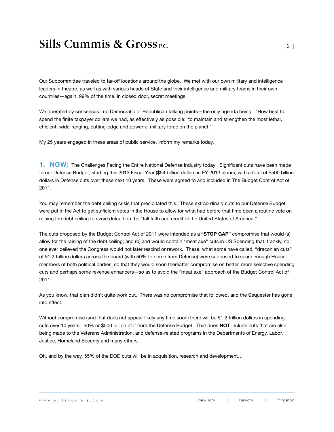Our Subcommittee traveled to far-off locations around the globe. We met with our own military and intelligence leaders in theatre, as well as with various heads of State and their intelligence and military teams in their own countries—again, 99% of the time, in closed door, secret meetings.

We operated by consensus: no Democratic or Republican talking points—the only agenda being: "How best to spend the finite taxpayer dollars we had, as effectively as possible: to maintain and strengthen the most lethal, efficient, wide-ranging, cutting-edge and powerful military force on the planet."

My 25 years engaged in these areas of public service, inform my remarks today.

**1. NOW:** The Challenges Facing the Entire National Defense Industry today: Significant cuts have been made to our Defense Budget, starting this 2013 Fiscal Year (\$54 billion dollars in FY 2013 alone), with a total of \$500 billion dollars in Defense cuts over these next 10 years. These were agreed to and included in The Budget Control Act of 2011.

You may remember the debt ceiling crisis that precipitated this. These extraordinary cuts to our Defense Budget were put in the Act to get sufficient votes in the House to allow for what had before that time been a routine vote on raising the debt ceiling to avoid default on the "full faith and credit of the United States of America."

The cuts proposed by the Budget Control Act of 2011 were intended as a **"STOP GAP"** compromise that would (a) allow for the raising of the debt ceiling; and (b) and would contain "meat axe" cuts in US Spending that, frankly, no one ever believed the Congress would not later rescind or rework. These, what some have called, "draconian cuts" of \$1.2 trillion dollars across the board (with 50% to come from Defense) were supposed to scare enough House members of both political parties, so that they would soon thereafter compromise on better, more selective spending cuts and perhaps some revenue enhancers—so as to avoid the "meat axe" approach of the Budget Control Act of 2011.

As you know, that plan didn't quite work out. There was no compromise that followed, and the Sequester has gone into effect.

Without compromise (and that does not appear likely any time soon) there will be \$1.2 trillion dollars in spending cuts over 10 years: 50% or \$500 billion of it from the Defense Budget. That does **NOT** include cuts that are also being made to the Veterans Administration, and defense-related programs in the Departments of Energy, Labor, Justice, Homeland Security and many others.

Oh, and by the way, 55% of the DOD cuts will be in acquisition, research and development…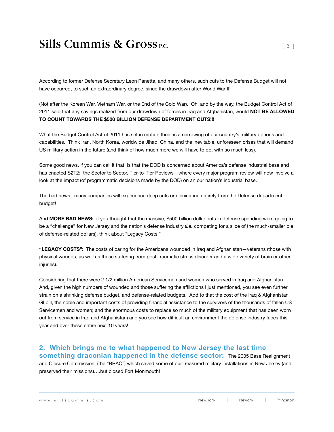According to former Defense Secretary Leon Panetta, and many others, such cuts to the Defense Budget will not have occurred, to such an extraordinary degree, since the drawdown after World War II!

(Not after the Korean War, Vietnam War, or the End of the Cold War). Oh, and by the way, the Budget Control Act of 2011 said that any savings realized from our drawdown of forces in Iraq and Afghanistan, would **NOT BE ALLOWED TO COUNT TOWARDS THE \$500 BILLION DEFENSE DEPARTMENT CUTS!!!**

What the Budget Control Act of 2011 has set in motion then, is a narrowing of our country's military options and capabilities. Think Iran, North Korea, worldwide Jihad, China, and the inevitable, unforeseen crises that will demand US military action in the future (and think of how much more we will have to do, with so much less).

Some good news, if you can call it that, is that the DOD is concerned about America's defense industrial base and has enacted S2T2: the Sector to Sector, Tier-to-Tier Reviews—where every major program review will now involve a look at the impact (of programmatic decisions made by the DOD) on an our nation's industrial base.

The bad news: many companies will experience deep cuts or elimination entirely from the Defense department budget!

And **MORE BAD NEWS:** if you thought that the massive, \$500 billion dollar cuts in defense spending were going to be a "challenge" for New Jersey and the nation's defense industry (*i.e.* competing for a slice of the much-smaller pie of defense-related dollars), think about "Legacy Costs!"

**"LEGACY COSTS":** The costs of caring for the Americans wounded in Iraq and Afghanistan—veterans (those with physical wounds, as well as those suffering from post-traumatic stress disorder and a wide variety of brain or other injuries).

Considering that there were 2 1/2 million American Servicemen and women who served in Iraq and Afghanistan. And, given the high numbers of wounded and those suffering the afflictions I just mentioned, you see even further strain on a shrinking defense budget, and defense-related budgets. Add to that the cost of the Iraq & Afghanistan GI bill, the noble and important costs of providing financial assistance to the survivors of the thousands of fallen US Servicemen and women; and the enormous costs to replace so much of the military equipment that has been worn out from service in Iraq and Afghanistan) and you see how difficult an environment the defense industry faces this year and over these entire next 10 years!

#### **2. Which brings me to what happened to New Jersey the last time**

**something draconian happened in the defense sector:** The 2005 Base Realignment and Closure Commission, (the "BRAC") which saved some of our treasured military installations in New Jersey (and preserved their missions)….but closed Fort Monmouth!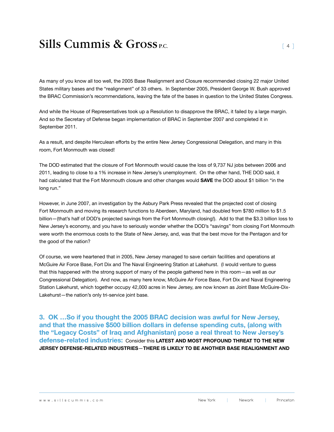As many of you know all too well, the 2005 Base Realignment and Closure recommended closing 22 major United States military bases and the "realignment" of 33 others. In September 2005, President George W. Bush approved the BRAC Commission's recommendations, leaving the fate of the bases in question to the United States Congress.

And while the House of Representatives took up a Resolution to disapprove the BRAC, it failed by a large margin. And so the Secretary of Defense began implementation of BRAC in September 2007 and completed it in September 2011.

As a result, and despite Herculean efforts by the entire New Jersey Congressional Delegation, and many in this room, Fort Monmouth was closed!

The DOD estimated that the closure of Fort Monmouth would cause the loss of 9,737 NJ jobs between 2006 and 2011, leading to close to a 1% increase in New Jersey's unemployment. On the other hand, THE DOD said, it had calculated that the Fort Monmouth closure and other changes would **SAVE** the DOD about \$1 billion "in the long run."

However, in June 2007, an investigation by the Asbury Park Press revealed that the projected cost of closing Fort Monmouth and moving its research functions to Aberdeen, Maryland, had doubled from \$780 million to \$1.5 billion—(that's half of DOD's projected savings from the Fort Monmouth closing!). Add to that the \$3.3 billion loss to New Jersey's economy, and you have to seriously wonder whether the DOD's "savings" from closing Fort Monmouth were worth the enormous costs to the State of New Jersey, and, was that the best move for the Pentagon and for the good of the nation?

Of course, we were heartened that in 2005, New Jersey managed to save certain facilities and operations at McGuire Air Force Base, Fort Dix and The Naval Engineering Station at Lakehurst. (I would venture to guess that this happened with the strong support of many of the people gathered here in this room—as well as our Congressional Delegation). And now, as many here know, McGuire Air Force Base, Fort Dix and Naval Engineering Station Lakehurst, which together occupy 42,000 acres in New Jersey, are now known as Joint Base McGuire-Dix-Lakehurst—the nation's only tri-service joint base.

**3. OK …So if you thought the 2005 BRAC decision was awful for New Jersey, and that the massive \$500 billion dollars in defense spending cuts, (along with the "Legacy Costs" of Iraq and Afghanistan) pose a real threat to New Jersey's defense-related industries:** Consider this **LATEST AND MOST PROFOUND THREAT TO THE NEW JERSEY DEFENSE-RELATED INDUSTRIES**—**THERE IS LIKELY TO BE ANOTHER BASE REALIGNMENT AND**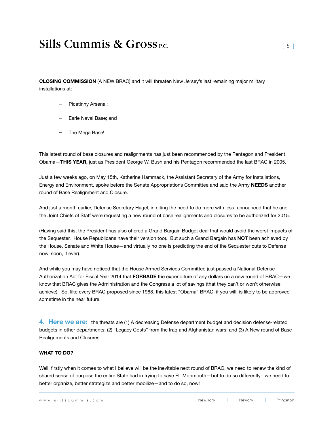**CLOSING COMMISSION** (A NEW BRAC) and it will threaten New Jersey's last remaining major military installations at:

- − Picatinny Arsenal;
- − Earle Naval Base; and
- − The Mega Base!

This latest round of base closures and realignments has just been recommended by the Pentagon and President Obama—**THIS YEAR,** just as President George W. Bush and his Pentagon recommended the last BRAC in 2005.

Just a few weeks ago, on May 15th, Katherine Hammack, the Assistant Secretary of the Army for Installations, Energy and Environment, spoke before the Senate Appropriations Committee and said the Army **NEEDS** another round of Base Realignment and Closure.

And just a month earlier, Defense Secretary Hagel, in citing the need to do more with less, announced that he and the Joint Chiefs of Staff were requesting a new round of base realignments and closures to be authorized for 2015.

(Having said this, the President has also offered a Grand Bargain Budget deal that would avoid the worst impacts of the Sequester. House Republicans have their version too). But such a Grand Bargain has **NOT** been achieved by the House, Senate and White House—and virtually no one is predicting the end of the Sequester cuts to Defense now, soon, if ever).

And while you may have noticed that the House Armed Services Committee just passed a National Defense Authorization Act for Fiscal Year 2014 that **FORBADE** the expenditure of any dollars on a new round of BRAC—we know that BRAC gives the Administration and the Congress a lot of savings (that they can't or won't otherwise achieve). So, like every BRAC proposed since 1988, this latest "Obama" BRAC, if you will, is likely to be approved sometime in the near future.

**4. Here we are:** the threats are (1) A decreasing Defense department budget and decision defense-related budgets in other departments; (2) "Legacy Costs" from the Iraq and Afghanistan wars; and (3) A New round of Base Realignments and Closures.

#### **WHAT TO DO?**

Well, firstly when it comes to what I believe will be the inevitable next round of BRAC, we need to renew the kind of shared sense of purpose the entire State had in trying to save Ft. Monmouth—but to do so differently: we need to better organize, better strategize and better mobilize—and to do so, now!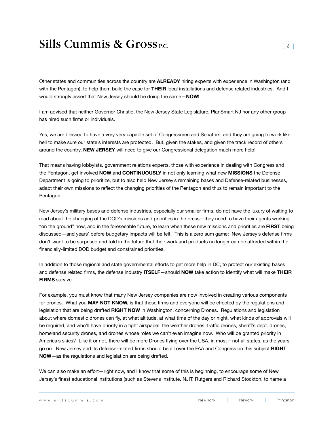Other states and communities across the country are **ALREADY** hiring experts with experience in Washington (and with the Pentagon), to help them build the case for **THEIR** local installations and defense related industries. And I would strongly assert that New Jersey should be doing the same—**NOW!**

I am advised that neither Governor Christie, the New Jersey State Legislature, PlanSmart NJ nor any other group has hired such firms or individuals.

Yes, we are blessed to have a very very capable set of Congressmen and Senators, and they are going to work like hell to make sure our state's interests are protected. But, given the stakes, and given the track record of others around the country, **NEW JERSEY** will need to give our Congressional delegation much more help!

That means having lobbyists, government relations experts, those with experience in dealing with Congress and the Pentagon, get involved **NOW** and **CONTINUOUSLY** in not only learning what new **MISSIONS** the Defense Department is going to prioritize, but to also help New Jersey's remaining bases and Defense-related businesses, adapt their own missions to reflect the changing priorities of the Pentagon and thus to remain important to the Pentagon.

New Jersey's military bases and defense industries, especially our smaller firms, do not have the luxury of waiting to read about the changing of the DOD's missions and priorities in the press—they need to have their agents working "on the ground" now, and in the foreseeable future, to learn when these new missions and priorities are **FIRST** being discussed—and years' before budgetary impacts will be felt. This is a zero sum game: New Jersey's defense firms don't-want to be surprised and told in the future that their work and products no longer can be afforded within the financially-limited DOD budget and constrained priorities.

In addition to those regional and state governmental efforts to get more help in DC, to protect our existing bases and defense related firms, the defense industry **ITSELF**—should **NOW** take action to identify what will make **THEIR FIRMS** survive.

For example, you must know that many New Jersey companies are now involved in creating various components for drones. What you **MAY NOT KNOW,** is that these firms and everyone will be effected by the regulations and legislation that are being drafted **RIGHT NOW** in Washington, concerning Drones. Regulations and legislation about where domestic drones can fly, at what altitude, at what time of the day or night, what kinds of approvals will be required, and who'll have priority in a tight airspace: the weather drones, traffic drones, sheriff's dept. drones, homeland security drones, and drones whose roles we can't even imagine now. Who will be granted priority in America's skies? Like it or not, there will be more Drones flying over the USA, in most if not all states, as the years go on. New Jersey and its defense-related firms should be all over the FAA and Congress on this subject **RIGHT NOW**—as the regulations and legislation are being drafted.

We can also make an effort—right now, and I know that some of this is beginning, to encourage some of New Jersey's finest educational institutions (such as Stevens Institute, NJIT, Rutgers and Richard Stockton, to name a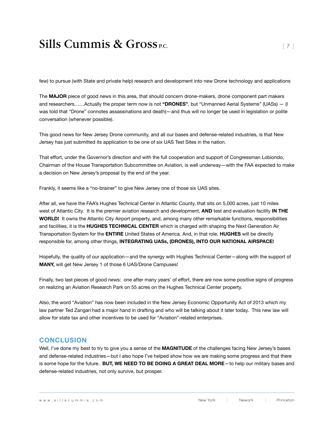few) to pursue (with State and private help) research and development into new Drone technology and applications

The **MAJOR** piece of good news in this area, that should concern drone-makers, drone component part makers and researchers……Actually the proper term now is not **"DRONES"**, but "Unmanned Aerial Systems" (UASs) — (I was told that "Drone" connotes assassinations and death)—and thus will no longer be used in legislation or polite conversation (whenever possible).

This good news for New Jersey Drone community, and all our bases and defense-related industries, is that New Jersey has just submitted its application to be one of six UAS Test Sites in the nation.

That effort, under the Governor's direction and with the full cooperation and support of Congressman Lobiondo, Chairman of the House Transportation Subcommittee on Aviation, is well underway—with the FAA expected to make a decision on New Jersey's proposal by the end of the year.

Frankly, it seems like a "no-brainer" to give New Jersey one of those six UAS sites.

After all, we have the FAA's Hughes Technical Center in Atlantic County, that sits on 5,000 acres, just 10 miles west of Atlantic City. It is the premier aviation research and development, **AND** test and evaluation facility **IN THE WORLD!** It owns the Atlantic City Airport property, and, among many other remarkable functions, responsibilities and facilities, it is the **HUGHES TECHNICAL CENTER** which is charged with shaping the Next Generation Air Transportation System for the **entire** United States of America. And, in that role, **Hughes** will be directly responsible for, among other things, **INTEGRATING UASs, (DRONES), INTO OUR NATIONAL AIRSPACE!**

Hopefully, the quality of our application—and the synergy with Hughes Technical Center—along with the support of **MANY,** will get New Jersey 1 of those 6 UAS/Drone Campuses!

Finally, two last pieces of good news: one after many years' of effort, there are now some positive signs of progress on realizing an Aviation Research Park on 55 acres on the Hughes Technical Center property.

Also, the word "Aviation" has now been included in the New Jersey Economic Opportunity Act of 2013 which my law partner Ted Zangari had a major hand in drafting and who will be talking about it later today. This new law will allow for state tax and other incentives to be used for "Aviation"-related enterprises.

#### **CONCLUSION**

Well, I've done my best to try to give you a sense of the MAGNITUDE of the challenges facing New Jersey's bases and defense-related industries—but I also hope I've helped show how we are making some progress and that there is some hope for the future. **BUT, WE NEED TO BE DOING A GREAT DEAL MORE**—to help our military bases and defense-related industries, not only survive, but prosper.